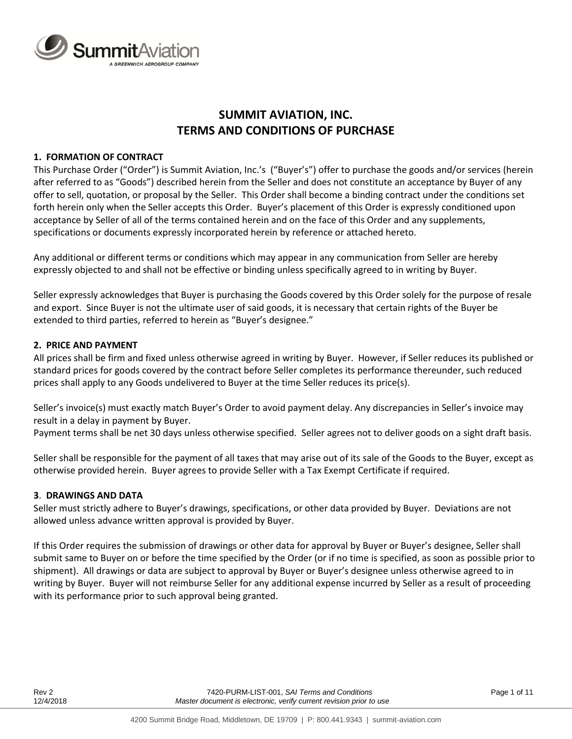

# **SUMMIT AVIATION, INC. TERMS AND CONDITIONS OF PURCHASE**

# **1. FORMATION OF CONTRACT**

This Purchase Order ("Order") is Summit Aviation, Inc.'s ("Buyer's") offer to purchase the goods and/or services (herein after referred to as "Goods") described herein from the Seller and does not constitute an acceptance by Buyer of any offer to sell, quotation, or proposal by the Seller. This Order shall become a binding contract under the conditions set forth herein only when the Seller accepts this Order. Buyer's placement of this Order is expressly conditioned upon acceptance by Seller of all of the terms contained herein and on the face of this Order and any supplements, specifications or documents expressly incorporated herein by reference or attached hereto.

Any additional or different terms or conditions which may appear in any communication from Seller are hereby expressly objected to and shall not be effective or binding unless specifically agreed to in writing by Buyer.

Seller expressly acknowledges that Buyer is purchasing the Goods covered by this Order solely for the purpose of resale and export. Since Buyer is not the ultimate user of said goods, it is necessary that certain rights of the Buyer be extended to third parties, referred to herein as "Buyer's designee."

## **2. PRICE AND PAYMENT**

All prices shall be firm and fixed unless otherwise agreed in writing by Buyer. However, if Seller reduces its published or standard prices for goods covered by the contract before Seller completes its performance thereunder, such reduced prices shall apply to any Goods undelivered to Buyer at the time Seller reduces its price(s).

Seller's invoice(s) must exactly match Buyer's Order to avoid payment delay. Any discrepancies in Seller's invoice may result in a delay in payment by Buyer.

Payment terms shall be net 30 days unless otherwise specified. Seller agrees not to deliver goods on a sight draft basis.

Seller shall be responsible for the payment of all taxes that may arise out of its sale of the Goods to the Buyer, except as otherwise provided herein. Buyer agrees to provide Seller with a Tax Exempt Certificate if required.

#### **3**. **DRAWINGS AND DATA**

Seller must strictly adhere to Buyer's drawings, specifications, or other data provided by Buyer. Deviations are not allowed unless advance written approval is provided by Buyer.

If this Order requires the submission of drawings or other data for approval by Buyer or Buyer's designee, Seller shall submit same to Buyer on or before the time specified by the Order (or if no time is specified, as soon as possible prior to shipment). All drawings or data are subject to approval by Buyer or Buyer's designee unless otherwise agreed to in writing by Buyer. Buyer will not reimburse Seller for any additional expense incurred by Seller as a result of proceeding with its performance prior to such approval being granted.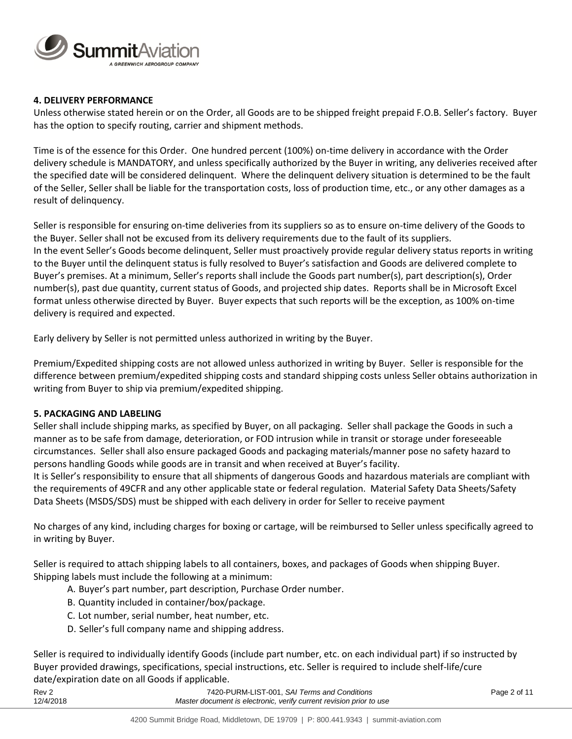

## **4. DELIVERY PERFORMANCE**

Unless otherwise stated herein or on the Order, all Goods are to be shipped freight prepaid F.O.B. Seller's factory. Buyer has the option to specify routing, carrier and shipment methods.

Time is of the essence for this Order. One hundred percent (100%) on-time delivery in accordance with the Order delivery schedule is MANDATORY, and unless specifically authorized by the Buyer in writing, any deliveries received after the specified date will be considered delinquent. Where the delinquent delivery situation is determined to be the fault of the Seller, Seller shall be liable for the transportation costs, loss of production time, etc., or any other damages as a result of delinquency.

Seller is responsible for ensuring on-time deliveries from its suppliers so as to ensure on-time delivery of the Goods to the Buyer. Seller shall not be excused from its delivery requirements due to the fault of its suppliers. In the event Seller's Goods become delinquent, Seller must proactively provide regular delivery status reports in writing to the Buyer until the delinquent status is fully resolved to Buyer's satisfaction and Goods are delivered complete to Buyer's premises. At a minimum, Seller's reports shall include the Goods part number(s), part description(s), Order number(s), past due quantity, current status of Goods, and projected ship dates. Reports shall be in Microsoft Excel format unless otherwise directed by Buyer. Buyer expects that such reports will be the exception, as 100% on-time delivery is required and expected.

Early delivery by Seller is not permitted unless authorized in writing by the Buyer.

Premium/Expedited shipping costs are not allowed unless authorized in writing by Buyer. Seller is responsible for the difference between premium/expedited shipping costs and standard shipping costs unless Seller obtains authorization in writing from Buyer to ship via premium/expedited shipping.

#### **5. PACKAGING AND LABELING**

Seller shall include shipping marks, as specified by Buyer, on all packaging. Seller shall package the Goods in such a manner as to be safe from damage, deterioration, or FOD intrusion while in transit or storage under foreseeable circumstances. Seller shall also ensure packaged Goods and packaging materials/manner pose no safety hazard to persons handling Goods while goods are in transit and when received at Buyer's facility.

It is Seller's responsibility to ensure that all shipments of dangerous Goods and hazardous materials are compliant with the requirements of 49CFR and any other applicable state or federal regulation. Material Safety Data Sheets/Safety Data Sheets (MSDS/SDS) must be shipped with each delivery in order for Seller to receive payment

No charges of any kind, including charges for boxing or cartage, will be reimbursed to Seller unless specifically agreed to in writing by Buyer.

Seller is required to attach shipping labels to all containers, boxes, and packages of Goods when shipping Buyer. Shipping labels must include the following at a minimum:

- A. Buyer's part number, part description, Purchase Order number.
- B. Quantity included in container/box/package.
- C. Lot number, serial number, heat number, etc.
- D. Seller's full company name and shipping address.

Seller is required to individually identify Goods (include part number, etc. on each individual part) if so instructed by Buyer provided drawings, specifications, special instructions, etc. Seller is required to include shelf-life/cure date/expiration date on all Goods if applicable.

| Rev <sub>2</sub> | 7420-PURM-LIST-001, SAI Terms and Conditions                        | Page 2 of 11 |
|------------------|---------------------------------------------------------------------|--------------|
| 12/4/2018        | Master document is electronic, verify current revision prior to use |              |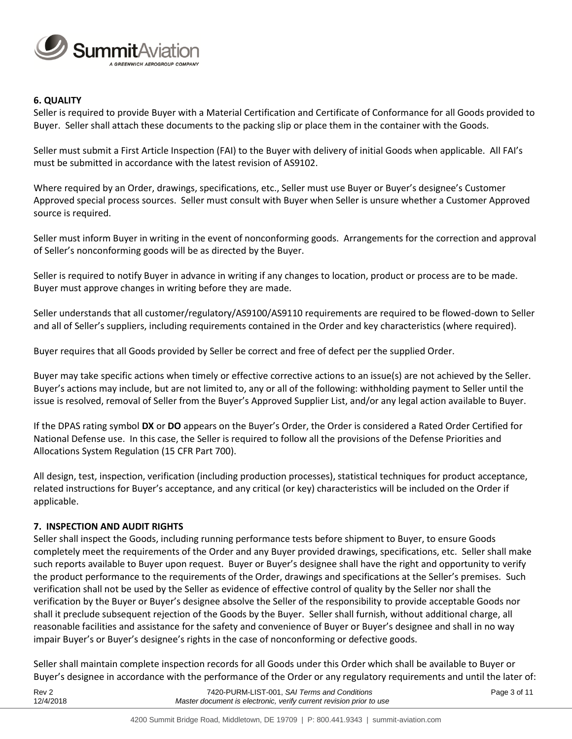

## **6. QUALITY**

Seller is required to provide Buyer with a Material Certification and Certificate of Conformance for all Goods provided to Buyer. Seller shall attach these documents to the packing slip or place them in the container with the Goods.

Seller must submit a First Article Inspection (FAI) to the Buyer with delivery of initial Goods when applicable. All FAI's must be submitted in accordance with the latest revision of AS9102.

Where required by an Order, drawings, specifications, etc., Seller must use Buyer or Buyer's designee's Customer Approved special process sources. Seller must consult with Buyer when Seller is unsure whether a Customer Approved source is required.

Seller must inform Buyer in writing in the event of nonconforming goods. Arrangements for the correction and approval of Seller's nonconforming goods will be as directed by the Buyer.

Seller is required to notify Buyer in advance in writing if any changes to location, product or process are to be made. Buyer must approve changes in writing before they are made.

Seller understands that all customer/regulatory/AS9100/AS9110 requirements are required to be flowed-down to Seller and all of Seller's suppliers, including requirements contained in the Order and key characteristics (where required).

Buyer requires that all Goods provided by Seller be correct and free of defect per the supplied Order.

Buyer may take specific actions when timely or effective corrective actions to an issue(s) are not achieved by the Seller. Buyer's actions may include, but are not limited to, any or all of the following: withholding payment to Seller until the issue is resolved, removal of Seller from the Buyer's Approved Supplier List, and/or any legal action available to Buyer.

If the DPAS rating symbol **DX** or **DO** appears on the Buyer's Order, the Order is considered a Rated Order Certified for National Defense use. In this case, the Seller is required to follow all the provisions of the Defense Priorities and Allocations System Regulation (15 CFR Part 700).

All design, test, inspection, verification (including production processes), statistical techniques for product acceptance, related instructions for Buyer's acceptance, and any critical (or key) characteristics will be included on the Order if applicable.

#### **7. INSPECTION AND AUDIT RIGHTS**

Seller shall inspect the Goods, including running performance tests before shipment to Buyer, to ensure Goods completely meet the requirements of the Order and any Buyer provided drawings, specifications, etc. Seller shall make such reports available to Buyer upon request. Buyer or Buyer's designee shall have the right and opportunity to verify the product performance to the requirements of the Order, drawings and specifications at the Seller's premises. Such verification shall not be used by the Seller as evidence of effective control of quality by the Seller nor shall the verification by the Buyer or Buyer's designee absolve the Seller of the responsibility to provide acceptable Goods nor shall it preclude subsequent rejection of the Goods by the Buyer. Seller shall furnish, without additional charge, all reasonable facilities and assistance for the safety and convenience of Buyer or Buyer's designee and shall in no way impair Buyer's or Buyer's designee's rights in the case of nonconforming or defective goods.

Seller shall maintain complete inspection records for all Goods under this Order which shall be available to Buyer or Buyer's designee in accordance with the performance of the Order or any regulatory requirements and until the later of:

| Rev <sub>2</sub> | 7420-PURM-LIST-001, SAI Terms and Conditions                        | Page 3 of 11 |
|------------------|---------------------------------------------------------------------|--------------|
| 12/4/2018        | Master document is electronic, verify current revision prior to use |              |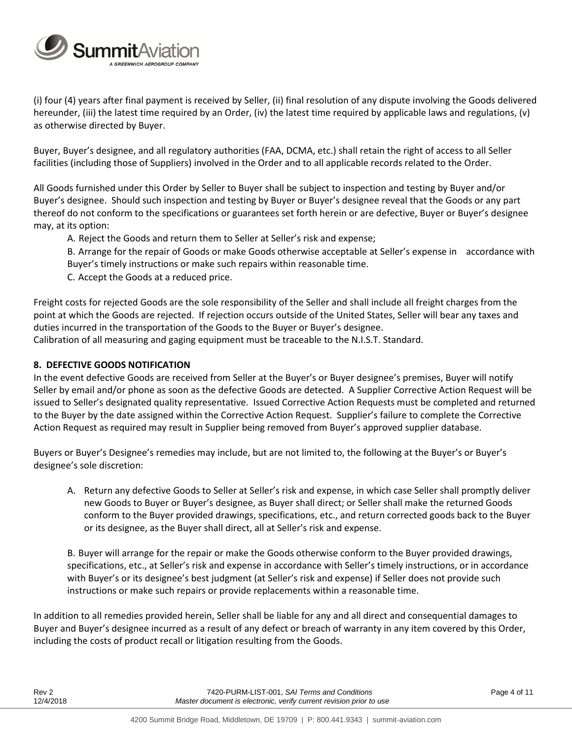

(i) four (4) years after final payment is received by Seller, (ii) final resolution of any dispute involving the Goods delivered hereunder, (iii) the latest time required by an Order, (iv) the latest time required by applicable laws and regulations, (v) as otherwise directed by Buyer.

Buyer, Buyer's designee, and all regulatory authorities (FAA, DCMA, etc.) shall retain the right of access to all Seller facilities (including those of Suppliers) involved in the Order and to all applicable records related to the Order.

All Goods furnished under this Order by Seller to Buyer shall be subject to inspection and testing by Buyer and/or Buyer's designee. Should such inspection and testing by Buyer or Buyer's designee reveal that the Goods or any part thereof do not conform to the specifications or guarantees set forth herein or are defective, Buyer or Buyer's designee may, at its option:

A. Reject the Goods and return them to Seller at Seller's risk and expense;

B. Arrange for the repair of Goods or make Goods otherwise acceptable at Seller's expense in accordance with Buyer's timely instructions or make such repairs within reasonable time.

C. Accept the Goods at a reduced price.

Freight costs for rejected Goods are the sole responsibility of the Seller and shall include all freight charges from the point at which the Goods are rejected. If rejection occurs outside of the United States, Seller will bear any taxes and duties incurred in the transportation of the Goods to the Buyer or Buyer's designee. Calibration of all measuring and gaging equipment must be traceable to the N.I.S.T. Standard.

# **8. DEFECTIVE GOODS NOTIFICATION**

In the event defective Goods are received from Seller at the Buyer's or Buyer designee's premises, Buyer will notify Seller by email and/or phone as soon as the defective Goods are detected. A Supplier Corrective Action Request will be issued to Seller's designated quality representative. Issued Corrective Action Requests must be completed and returned to the Buyer by the date assigned within the Corrective Action Request. Supplier's failure to complete the Corrective Action Request as required may result in Supplier being removed from Buyer's approved supplier database.

Buyers or Buyer's Designee's remedies may include, but are not limited to, the following at the Buyer's or Buyer's designee's sole discretion:

A. Return any defective Goods to Seller at Seller's risk and expense, in which case Seller shall promptly deliver new Goods to Buyer or Buyer's designee, as Buyer shall direct; or Seller shall make the returned Goods conform to the Buyer provided drawings, specifications, etc., and return corrected goods back to the Buyer or its designee, as the Buyer shall direct, all at Seller's risk and expense.

B. Buyer will arrange for the repair or make the Goods otherwise conform to the Buyer provided drawings, specifications, etc., at Seller's risk and expense in accordance with Seller's timely instructions, or in accordance with Buyer's or its designee's best judgment (at Seller's risk and expense) if Seller does not provide such instructions or make such repairs or provide replacements within a reasonable time.

In addition to all remedies provided herein, Seller shall be liable for any and all direct and consequential damages to Buyer and Buyer's designee incurred as a result of any defect or breach of warranty in any item covered by this Order, including the costs of product recall or litigation resulting from the Goods.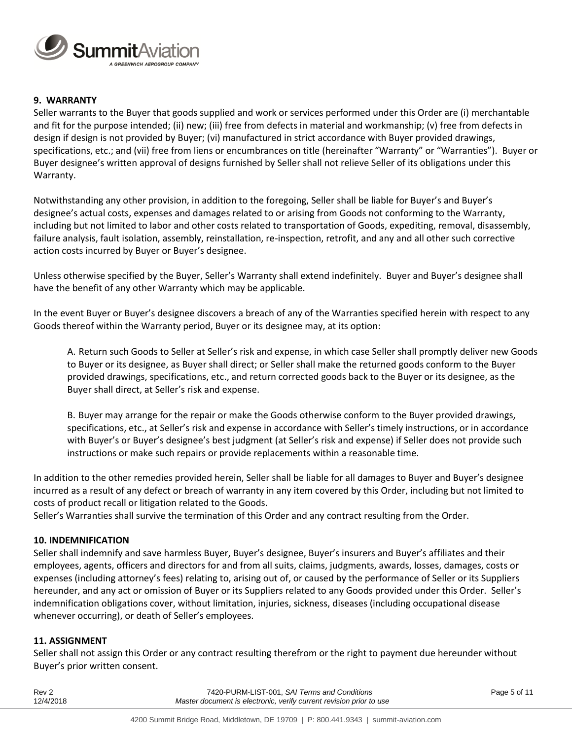

# **9. WARRANTY**

Seller warrants to the Buyer that goods supplied and work or services performed under this Order are (i) merchantable and fit for the purpose intended; (ii) new; (iii) free from defects in material and workmanship; (v) free from defects in design if design is not provided by Buyer; (vi) manufactured in strict accordance with Buyer provided drawings, specifications, etc.; and (vii) free from liens or encumbrances on title (hereinafter "Warranty" or "Warranties"). Buyer or Buyer designee's written approval of designs furnished by Seller shall not relieve Seller of its obligations under this Warranty.

Notwithstanding any other provision, in addition to the foregoing, Seller shall be liable for Buyer's and Buyer's designee's actual costs, expenses and damages related to or arising from Goods not conforming to the Warranty, including but not limited to labor and other costs related to transportation of Goods, expediting, removal, disassembly, failure analysis, fault isolation, assembly, reinstallation, re-inspection, retrofit, and any and all other such corrective action costs incurred by Buyer or Buyer's designee.

Unless otherwise specified by the Buyer, Seller's Warranty shall extend indefinitely. Buyer and Buyer's designee shall have the benefit of any other Warranty which may be applicable.

In the event Buyer or Buyer's designee discovers a breach of any of the Warranties specified herein with respect to any Goods thereof within the Warranty period, Buyer or its designee may, at its option:

A. Return such Goods to Seller at Seller's risk and expense, in which case Seller shall promptly deliver new Goods to Buyer or its designee, as Buyer shall direct; or Seller shall make the returned goods conform to the Buyer provided drawings, specifications, etc., and return corrected goods back to the Buyer or its designee, as the Buyer shall direct, at Seller's risk and expense.

B. Buyer may arrange for the repair or make the Goods otherwise conform to the Buyer provided drawings, specifications, etc., at Seller's risk and expense in accordance with Seller's timely instructions, or in accordance with Buyer's or Buyer's designee's best judgment (at Seller's risk and expense) if Seller does not provide such instructions or make such repairs or provide replacements within a reasonable time.

In addition to the other remedies provided herein, Seller shall be liable for all damages to Buyer and Buyer's designee incurred as a result of any defect or breach of warranty in any item covered by this Order, including but not limited to costs of product recall or litigation related to the Goods.

Seller's Warranties shall survive the termination of this Order and any contract resulting from the Order.

# **10. INDEMNIFICATION**

Seller shall indemnify and save harmless Buyer, Buyer's designee, Buyer's insurers and Buyer's affiliates and their employees, agents, officers and directors for and from all suits, claims, judgments, awards, losses, damages, costs or expenses (including attorney's fees) relating to, arising out of, or caused by the performance of Seller or its Suppliers hereunder, and any act or omission of Buyer or its Suppliers related to any Goods provided under this Order. Seller's indemnification obligations cover, without limitation, injuries, sickness, diseases (including occupational disease whenever occurring), or death of Seller's employees.

#### **11. ASSIGNMENT**

Seller shall not assign this Order or any contract resulting therefrom or the right to payment due hereunder without Buyer's prior written consent.

| 12/4/2018        | Master document is electronic, verify current revision prior to use |              |
|------------------|---------------------------------------------------------------------|--------------|
| Rev <sub>2</sub> | 7420-PURM-LIST-001, SAI Terms and Conditions                        | Page 5 of 11 |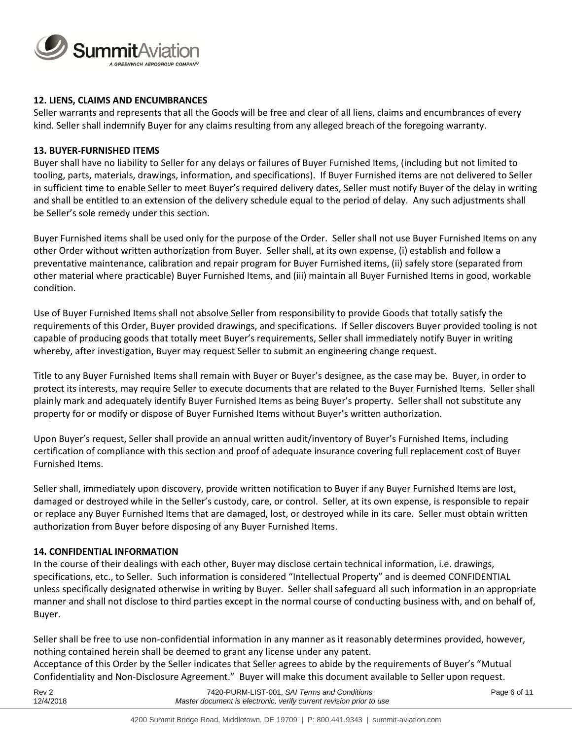

# **12. LIENS, CLAIMS AND ENCUMBRANCES**

Seller warrants and represents that all the Goods will be free and clear of all liens, claims and encumbrances of every kind. Seller shall indemnify Buyer for any claims resulting from any alleged breach of the foregoing warranty.

#### **13. BUYER-FURNISHED ITEMS**

Buyer shall have no liability to Seller for any delays or failures of Buyer Furnished Items, (including but not limited to tooling, parts, materials, drawings, information, and specifications). If Buyer Furnished items are not delivered to Seller in sufficient time to enable Seller to meet Buyer's required delivery dates, Seller must notify Buyer of the delay in writing and shall be entitled to an extension of the delivery schedule equal to the period of delay. Any such adjustments shall be Seller's sole remedy under this section.

Buyer Furnished items shall be used only for the purpose of the Order. Seller shall not use Buyer Furnished Items on any other Order without written authorization from Buyer. Seller shall, at its own expense, (i) establish and follow a preventative maintenance, calibration and repair program for Buyer Furnished items, (ii) safely store (separated from other material where practicable) Buyer Furnished Items, and (iii) maintain all Buyer Furnished Items in good, workable condition.

Use of Buyer Furnished Items shall not absolve Seller from responsibility to provide Goods that totally satisfy the requirements of this Order, Buyer provided drawings, and specifications. If Seller discovers Buyer provided tooling is not capable of producing goods that totally meet Buyer's requirements, Seller shall immediately notify Buyer in writing whereby, after investigation, Buyer may request Seller to submit an engineering change request.

Title to any Buyer Furnished Items shall remain with Buyer or Buyer's designee, as the case may be. Buyer, in order to protect its interests, may require Seller to execute documents that are related to the Buyer Furnished Items. Seller shall plainly mark and adequately identify Buyer Furnished Items as being Buyer's property. Seller shall not substitute any property for or modify or dispose of Buyer Furnished Items without Buyer's written authorization.

Upon Buyer's request, Seller shall provide an annual written audit/inventory of Buyer's Furnished Items, including certification of compliance with this section and proof of adequate insurance covering full replacement cost of Buyer Furnished Items.

Seller shall, immediately upon discovery, provide written notification to Buyer if any Buyer Furnished Items are lost, damaged or destroyed while in the Seller's custody, care, or control. Seller, at its own expense, is responsible to repair or replace any Buyer Furnished Items that are damaged, lost, or destroyed while in its care. Seller must obtain written authorization from Buyer before disposing of any Buyer Furnished Items.

#### **14. CONFIDENTIAL INFORMATION**

In the course of their dealings with each other, Buyer may disclose certain technical information, i.e. drawings, specifications, etc., to Seller. Such information is considered "Intellectual Property" and is deemed CONFIDENTIAL unless specifically designated otherwise in writing by Buyer. Seller shall safeguard all such information in an appropriate manner and shall not disclose to third parties except in the normal course of conducting business with, and on behalf of, Buyer.

Seller shall be free to use non-confidential information in any manner as it reasonably determines provided, however, nothing contained herein shall be deemed to grant any license under any patent.

Acceptance of this Order by the Seller indicates that Seller agrees to abide by the requirements of Buyer's "Mutual Confidentiality and Non-Disclosure Agreement." Buyer will make this document available to Seller upon request.

| Rev 2     | 7420-PURM-LIST-001, SAI Terms and Conditions                        | Page 6 of 11 |
|-----------|---------------------------------------------------------------------|--------------|
| 12/4/2018 | Master document is electronic, verify current revision prior to use |              |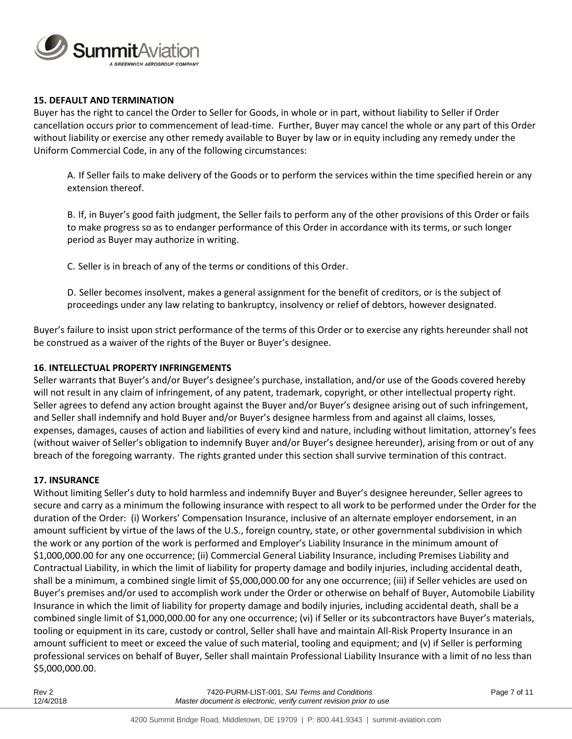

## **15. DEFAULT AND TERMINATION**

Buyer has the right to cancel the Order to Seller for Goods, in whole or in part, without liability to Seller if Order cancellation occurs prior to commencement of lead-time. Further, Buyer may cancel the whole or any part of this Order without liability or exercise any other remedy available to Buyer by law or in equity including any remedy under the Uniform Commercial Code, in any of the following circumstances:

A. If Seller fails to make delivery of the Goods or to perform the services within the time specified herein or any extension thereof.

B. If, in Buyer's good faith judgment, the Seller fails to perform any of the other provisions of this Order or fails to make progress so as to endanger performance of this Order in accordance with its terms, or such longer period as Buyer may authorize in writing.

C. Seller is in breach of any of the terms or conditions of this Order.

D. Seller becomes insolvent, makes a general assignment for the benefit of creditors, or is the subject of proceedings under any law relating to bankruptcy, insolvency or relief of debtors, however designated.

Buyer's failure to insist upon strict performance of the terms of this Order or to exercise any rights hereunder shall not be construed as a waiver of the rights of the Buyer or Buyer's designee.

#### **16**. **INTELLECTUAL PROPERTY INFRINGEMENTS**

Seller warrants that Buyer's and/or Buyer's designee's purchase, installation, and/or use of the Goods covered hereby will not result in any claim of infringement, of any patent, trademark, copyright, or other intellectual property right. Seller agrees to defend any action brought against the Buyer and/or Buyer's designee arising out of such infringement, and Seller shall indemnify and hold Buyer and/or Buyer's designee harmless from and against all claims, losses, expenses, damages, causes of action and liabilities of every kind and nature, including without limitation, attorney's fees (without waiver of Seller's obligation to indemnify Buyer and/or Buyer's designee hereunder), arising from or out of any breach of the foregoing warranty. The rights granted under this section shall survive termination of this contract.

#### **17. INSURANCE**

Without limiting Seller's duty to hold harmless and indemnify Buyer and Buyer's designee hereunder, Seller agrees to secure and carry as a minimum the following insurance with respect to all work to be performed under the Order for the duration of the Order: (i) Workers' Compensation Insurance, inclusive of an alternate employer endorsement, in an amount sufficient by virtue of the laws of the U.S., foreign country, state, or other governmental subdivision in which the work or any portion of the work is performed and Employer's Liability Insurance in the minimum amount of \$1,000,000.00 for any one occurrence; (ii) Commercial General Liability Insurance, including Premises Liability and Contractual Liability, in which the limit of liability for property damage and bodily injuries, including accidental death, shall be a minimum, a combined single limit of \$5,000,000.00 for any one occurrence; (iii) if Seller vehicles are used on Buyer's premises and/or used to accomplish work under the Order or otherwise on behalf of Buyer, Automobile Liability Insurance in which the limit of liability for property damage and bodily injuries, including accidental death, shall be a combined single limit of \$1,000,000.00 for any one occurrence; (vi) if Seller or its subcontractors have Buyer's materials, tooling or equipment in its care, custody or control, Seller shall have and maintain All-Risk Property Insurance in an amount sufficient to meet or exceed the value of such material, tooling and equipment; and (v) if Seller is performing professional services on behalf of Buyer, Seller shall maintain Professional Liability Insurance with a limit of no less than \$5,000,000.00.

| Rev 2     | 7420-PURM-LIST-001, SAI Terms and Conditions                        | Page 7 of 11 |
|-----------|---------------------------------------------------------------------|--------------|
| 12/4/2018 | Master document is electronic, verify current revision prior to use |              |
|           |                                                                     |              |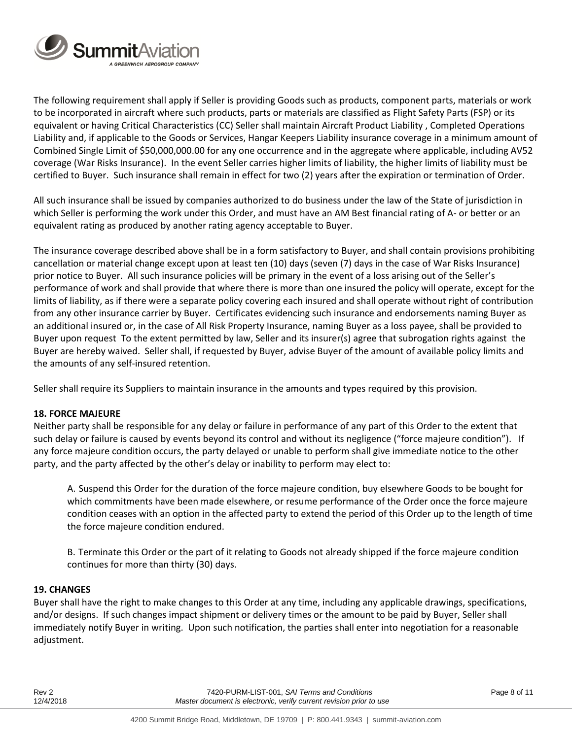

The following requirement shall apply if Seller is providing Goods such as products, component parts, materials or work to be incorporated in aircraft where such products, parts or materials are classified as Flight Safety Parts (FSP) or its equivalent or having Critical Characteristics (CC) Seller shall maintain Aircraft Product Liability , Completed Operations Liability and, if applicable to the Goods or Services, Hangar Keepers Liability insurance coverage in a minimum amount of Combined Single Limit of \$50,000,000.00 for any one occurrence and in the aggregate where applicable, including AV52 coverage (War Risks Insurance). In the event Seller carries higher limits of liability, the higher limits of liability must be certified to Buyer. Such insurance shall remain in effect for two (2) years after the expiration or termination of Order.

All such insurance shall be issued by companies authorized to do business under the law of the State of jurisdiction in which Seller is performing the work under this Order, and must have an AM Best financial rating of A- or better or an equivalent rating as produced by another rating agency acceptable to Buyer.

The insurance coverage described above shall be in a form satisfactory to Buyer, and shall contain provisions prohibiting cancellation or material change except upon at least ten (10) days (seven (7) days in the case of War Risks Insurance) prior notice to Buyer. All such insurance policies will be primary in the event of a loss arising out of the Seller's performance of work and shall provide that where there is more than one insured the policy will operate, except for the limits of liability, as if there were a separate policy covering each insured and shall operate without right of contribution from any other insurance carrier by Buyer. Certificates evidencing such insurance and endorsements naming Buyer as an additional insured or, in the case of All Risk Property Insurance, naming Buyer as a loss payee, shall be provided to Buyer upon request To the extent permitted by law, Seller and its insurer(s) agree that subrogation rights against the Buyer are hereby waived. Seller shall, if requested by Buyer, advise Buyer of the amount of available policy limits and the amounts of any self-insured retention.

Seller shall require its Suppliers to maintain insurance in the amounts and types required by this provision.

#### **18. FORCE MAJEURE**

Neither party shall be responsible for any delay or failure in performance of any part of this Order to the extent that such delay or failure is caused by events beyond its control and without its negligence ("force majeure condition"). If any force majeure condition occurs, the party delayed or unable to perform shall give immediate notice to the other party, and the party affected by the other's delay or inability to perform may elect to:

A. Suspend this Order for the duration of the force majeure condition, buy elsewhere Goods to be bought for which commitments have been made elsewhere, or resume performance of the Order once the force majeure condition ceases with an option in the affected party to extend the period of this Order up to the length of time the force majeure condition endured.

B. Terminate this Order or the part of it relating to Goods not already shipped if the force majeure condition continues for more than thirty (30) days.

#### **19. CHANGES**

Buyer shall have the right to make changes to this Order at any time, including any applicable drawings, specifications, and/or designs. If such changes impact shipment or delivery times or the amount to be paid by Buyer, Seller shall immediately notify Buyer in writing. Upon such notification, the parties shall enter into negotiation for a reasonable adjustment.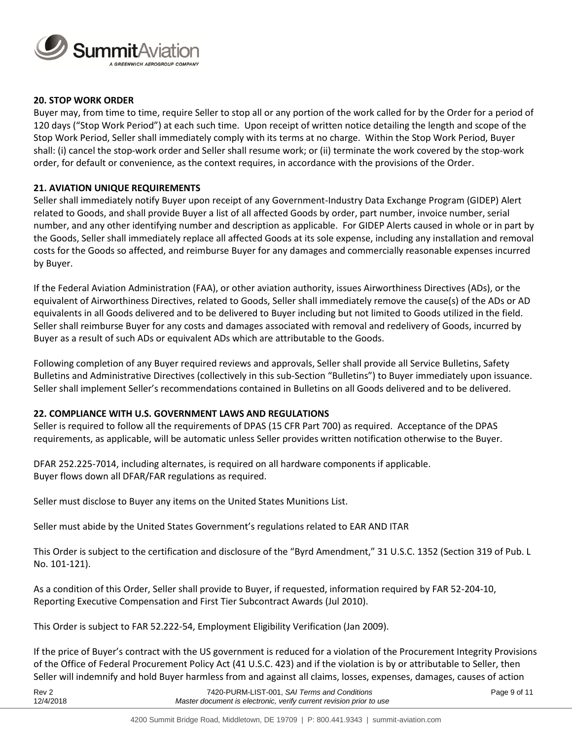

## **20. STOP WORK ORDER**

Buyer may, from time to time, require Seller to stop all or any portion of the work called for by the Order for a period of 120 days ("Stop Work Period") at each such time. Upon receipt of written notice detailing the length and scope of the Stop Work Period, Seller shall immediately comply with its terms at no charge. Within the Stop Work Period, Buyer shall: (i) cancel the stop-work order and Seller shall resume work; or (ii) terminate the work covered by the stop-work order, for default or convenience, as the context requires, in accordance with the provisions of the Order.

## **21. AVIATION UNIQUE REQUIREMENTS**

Seller shall immediately notify Buyer upon receipt of any Government-Industry Data Exchange Program (GIDEP) Alert related to Goods, and shall provide Buyer a list of all affected Goods by order, part number, invoice number, serial number, and any other identifying number and description as applicable. For GIDEP Alerts caused in whole or in part by the Goods, Seller shall immediately replace all affected Goods at its sole expense, including any installation and removal costs for the Goods so affected, and reimburse Buyer for any damages and commercially reasonable expenses incurred by Buyer.

If the Federal Aviation Administration (FAA), or other aviation authority, issues Airworthiness Directives (ADs), or the equivalent of Airworthiness Directives, related to Goods, Seller shall immediately remove the cause(s) of the ADs or AD equivalents in all Goods delivered and to be delivered to Buyer including but not limited to Goods utilized in the field. Seller shall reimburse Buyer for any costs and damages associated with removal and redelivery of Goods, incurred by Buyer as a result of such ADs or equivalent ADs which are attributable to the Goods.

Following completion of any Buyer required reviews and approvals, Seller shall provide all Service Bulletins, Safety Bulletins and Administrative Directives (collectively in this sub-Section "Bulletins") to Buyer immediately upon issuance. Seller shall implement Seller's recommendations contained in Bulletins on all Goods delivered and to be delivered.

# **22. COMPLIANCE WITH U.S. GOVERNMENT LAWS AND REGULATIONS**

Seller is required to follow all the requirements of DPAS (15 CFR Part 700) as required. Acceptance of the DPAS requirements, as applicable, will be automatic unless Seller provides written notification otherwise to the Buyer.

DFAR 252.225-7014, including alternates, is required on all hardware components if applicable. Buyer flows down all DFAR/FAR regulations as required.

Seller must disclose to Buyer any items on the United States Munitions List.

Seller must abide by the United States Government's regulations related to EAR AND ITAR

This Order is subject to the certification and disclosure of the "Byrd Amendment," 31 U.S.C. 1352 (Section 319 of Pub. L No. 101-121).

As a condition of this Order, Seller shall provide to Buyer, if requested, information required by FAR 52-204-10, Reporting Executive Compensation and First Tier Subcontract Awards (Jul 2010).

This Order is subject to FAR 52.222-54, Employment Eligibility Verification (Jan 2009).

If the price of Buyer's contract with the US government is reduced for a violation of the Procurement Integrity Provisions of the Office of Federal Procurement Policy Act (41 U.S.C. 423) and if the violation is by or attributable to Seller, then Seller will indemnify and hold Buyer harmless from and against all claims, losses, expenses, damages, causes of action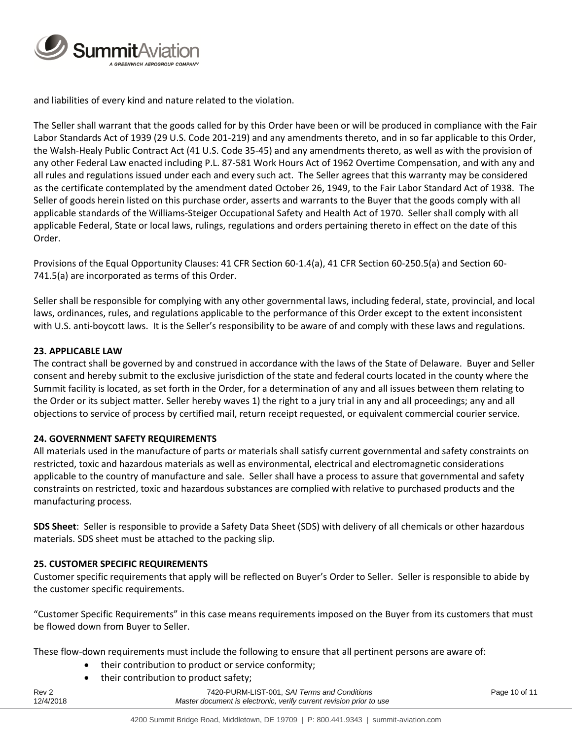

and liabilities of every kind and nature related to the violation.

The Seller shall warrant that the goods called for by this Order have been or will be produced in compliance with the Fair Labor Standards Act of 1939 (29 U.S. Code 201-219) and any amendments thereto, and in so far applicable to this Order, the Walsh-Healy Public Contract Act (41 U.S. Code 35-45) and any amendments thereto, as well as with the provision of any other Federal Law enacted including P.L. 87-581 Work Hours Act of 1962 Overtime Compensation, and with any and all rules and regulations issued under each and every such act. The Seller agrees that this warranty may be considered as the certificate contemplated by the amendment dated October 26, 1949, to the Fair Labor Standard Act of 1938. The Seller of goods herein listed on this purchase order, asserts and warrants to the Buyer that the goods comply with all applicable standards of the Williams-Steiger Occupational Safety and Health Act of 1970. Seller shall comply with all applicable Federal, State or local laws, rulings, regulations and orders pertaining thereto in effect on the date of this Order.

Provisions of the Equal Opportunity Clauses: 41 CFR Section 60-1.4(a), 41 CFR Section 60-250.5(a) and Section 60- 741.5(a) are incorporated as terms of this Order.

Seller shall be responsible for complying with any other governmental laws, including federal, state, provincial, and local laws, ordinances, rules, and regulations applicable to the performance of this Order except to the extent inconsistent with U.S. anti-boycott laws. It is the Seller's responsibility to be aware of and comply with these laws and regulations.

# **23. APPLICABLE LAW**

The contract shall be governed by and construed in accordance with the laws of the State of Delaware. Buyer and Seller consent and hereby submit to the exclusive jurisdiction of the state and federal courts located in the county where the Summit facility is located, as set forth in the Order, for a determination of any and all issues between them relating to the Order or its subject matter. Seller hereby waves 1) the right to a jury trial in any and all proceedings; any and all objections to service of process by certified mail, return receipt requested, or equivalent commercial courier service.

# **24. GOVERNMENT SAFETY REQUIREMENTS**

All materials used in the manufacture of parts or materials shall satisfy current governmental and safety constraints on restricted, toxic and hazardous materials as well as environmental, electrical and electromagnetic considerations applicable to the country of manufacture and sale. Seller shall have a process to assure that governmental and safety constraints on restricted, toxic and hazardous substances are complied with relative to purchased products and the manufacturing process.

**SDS Sheet**: Seller is responsible to provide a Safety Data Sheet (SDS) with delivery of all chemicals or other hazardous materials. SDS sheet must be attached to the packing slip.

# **25. CUSTOMER SPECIFIC REQUIREMENTS**

Customer specific requirements that apply will be reflected on Buyer's Order to Seller. Seller is responsible to abide by the customer specific requirements.

"Customer Specific Requirements" in this case means requirements imposed on the Buyer from its customers that must be flowed down from Buyer to Seller.

These flow-down requirements must include the following to ensure that all pertinent persons are aware of:

- their contribution to product or service conformity;
- their contribution to product safety;

Rev 2 7420-PURM-LIST-001, *SAI Terms and Conditions* Page 10 of 11 12/4/2018 *Master document is electronic, verify current revision prior to use*